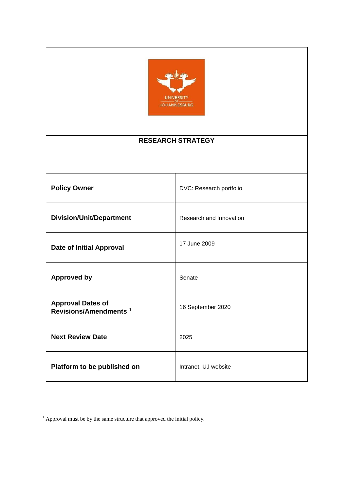

## **RESEARCH STRATEGY**

| <b>Policy Owner</b>                                           | DVC: Research portfolio |
|---------------------------------------------------------------|-------------------------|
| <b>Division/Unit/Department</b>                               | Research and Innovation |
| <b>Date of Initial Approval</b>                               | 17 June 2009            |
| <b>Approved by</b>                                            | Senate                  |
| <b>Approval Dates of</b><br>Revisions/Amendments <sup>1</sup> | 16 September 2020       |
| <b>Next Review Date</b>                                       | 2025                    |
| Platform to be published on                                   | Intranet, UJ website    |

 $<sup>1</sup>$  Approval must be by the same structure that approved the initial policy.</sup>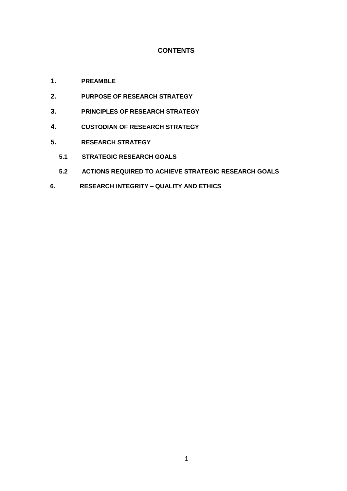#### **CONTENTS**

- **1. PREAMBLE**
- **2. PURPOSE OF RESEARCH STRATEGY**
- **3. PRINCIPLES OF RESEARCH STRATEGY**
- **4. CUSTODIAN OF RESEARCH STRATEGY**
- **5. RESEARCH STRATEGY** 
	- **5.1 STRATEGIC RESEARCH GOALS**
	- **5.2 ACTIONS REQUIRED TO ACHIEVE STRATEGIC RESEARCH GOALS**
- **6. RESEARCH INTEGRITY – QUALITY AND ETHICS**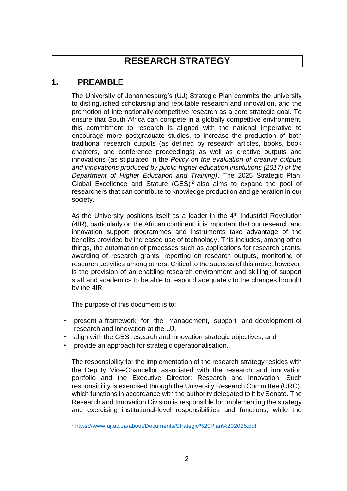# **RESEARCH STRATEGY**

## **1. PREAMBLE**

The University of Johannesburg's (UJ) Strategic Plan commits the university to distinguished scholarship and reputable research and innovation, and the promotion of internationally competitive research as a core strategic goal. To ensure that South Africa can compete in a globally competitive environment, this commitment to research is aligned with the national imperative to encourage more postgraduate studies, to increase the production of both traditional research outputs (as defined by research articles, books, book chapters, and conference proceedings) as well as creative outputs and innovations (as stipulated in the *Policy on the evaluation of creative outputs and innovations produced by public higher education institutions (2017) of the Department of Higher Education and Training)*. The 2025 Strategic Plan: Global Excellence and Stature  $(GES)^2$  also aims to expand the pool of researchers that can contribute to knowledge production and generation in our society.

As the University positions itself as a leader in the 4<sup>th</sup> Industrial Revolution (4IR), particularly on the African continent, it is important that our research and innovation support programmes and instruments take advantage of the benefits provided by increased use of technology. This includes, among other things, the automation of processes such as applications for research grants, awarding of research grants, reporting on research outputs, monitoring of research activities among others. Critical to the success of this move, however, is the provision of an enabling research environment and skilling of support staff and academics to be able to respond adequately to the changes brought by the 4IR.

The purpose of this document is to:

 $\overline{a}$ 

- present a framework for the management, support and development of research and innovation at the UJ,
- align with the GES research and innovation strategic objectives, and
- provide an approach for strategic operationalisation.

The responsibility for the implementation of the research strategy resides with the Deputy Vice-Chancellor associated with the research and innovation portfolio and the Executive Director: Research and Innovation. Such responsibility is exercised through the University Research Committee (URC), which functions in accordance with the authority delegated to it by Senate. The Research and Innovation Division is responsible for implementing the strategy and exercising institutional-level responsibilities and functions, while the

<sup>2</sup> <https://www.uj.ac.za/about/Documents/Strategic%20Plan%202025.pdf>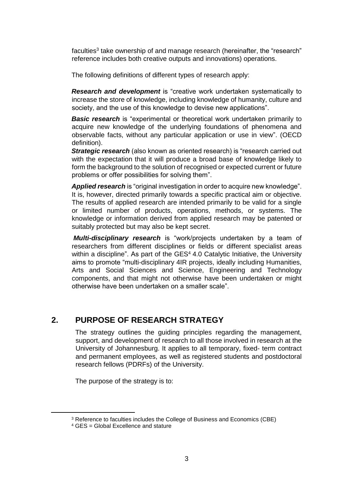faculties<sup>3</sup> take ownership of and manage research (hereinafter, the "research" reference includes both creative outputs and innovations) operations.

The following definitions of different types of research apply:

*Research and development* is "creative work undertaken systematically to increase the store of knowledge, including knowledge of humanity, culture and society, and the use of this knowledge to devise new applications".

**Basic research** is "experimental or theoretical work undertaken primarily to acquire new knowledge of the underlying foundations of phenomena and observable facts, without any particular application or use in view". (OECD definition).

**Strategic research** (also known as oriented research) is "research carried out with the expectation that it will produce a broad base of knowledge likely to form the background to the solution of recognised or expected current or future problems or offer possibilities for solving them".

Applied research is "original investigation in order to acquire new knowledge". It is, however, directed primarily towards a specific practical aim or objective. The results of applied research are intended primarily to be valid for a single or limited number of products, operations, methods, or systems. The knowledge or information derived from applied research may be patented or suitably protected but may also be kept secret.

*Multi-disciplinary research* is "work/projects undertaken by a team of researchers from different disciplines or fields or different specialist areas within a discipline". As part of the  $GES<sup>4</sup> 4.0$  Catalytic Initiative, the University aims to promote "multi-disciplinary 4IR projects, ideally including Humanities, Arts and Social Sciences and Science, Engineering and Technology components, and that might not otherwise have been undertaken or might otherwise have been undertaken on a smaller scale".

## **2. PURPOSE OF RESEARCH STRATEGY**

The strategy outlines the guiding principles regarding the management, support, and development of research to all those involved in research at the University of Johannesburg. It applies to all temporary, fixed- term contract and permanent employees, as well as registered students and postdoctoral research fellows (PDRFs) of the University.

The purpose of the strategy is to:

<sup>3</sup> Reference to faculties includes the College of Business and Economics (CBE)

<sup>4</sup> GES = Global Excellence and stature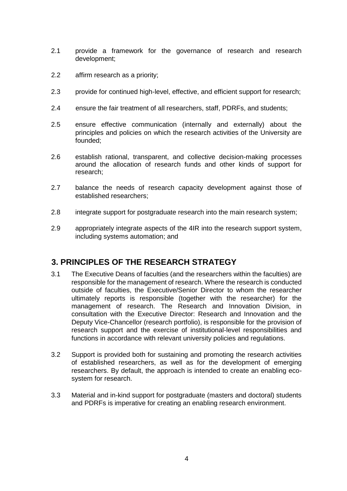- 2.1 provide a framework for the governance of research and research development;
- 2.2 affirm research as a priority;
- 2.3 provide for continued high-level, effective, and efficient support for research;
- 2.4 ensure the fair treatment of all researchers, staff, PDRFs, and students;
- 2.5 ensure effective communication (internally and externally) about the principles and policies on which the research activities of the University are founded;
- 2.6 establish rational, transparent, and collective decision-making processes around the allocation of research funds and other kinds of support for research;
- 2.7 balance the needs of research capacity development against those of established researchers;
- 2.8 integrate support for postgraduate research into the main research system;
- 2.9 appropriately integrate aspects of the 4IR into the research support system, including systems automation; and

## **3. PRINCIPLES OF THE RESEARCH STRATEGY**

- 3.1 The Executive Deans of faculties (and the researchers within the faculties) are responsible for the management of research. Where the research is conducted outside of faculties, the Executive/Senior Director to whom the researcher ultimately reports is responsible (together with the researcher) for the management of research. The Research and Innovation Division, in consultation with the Executive Director: Research and Innovation and the Deputy Vice-Chancellor (research portfolio), is responsible for the provision of research support and the exercise of institutional-level responsibilities and functions in accordance with relevant university policies and regulations.
- 3.2 Support is provided both for sustaining and promoting the research activities of established researchers, as well as for the development of emerging researchers. By default, the approach is intended to create an enabling ecosystem for research.
- 3.3 Material and in-kind support for postgraduate (masters and doctoral) students and PDRFs is imperative for creating an enabling research environment.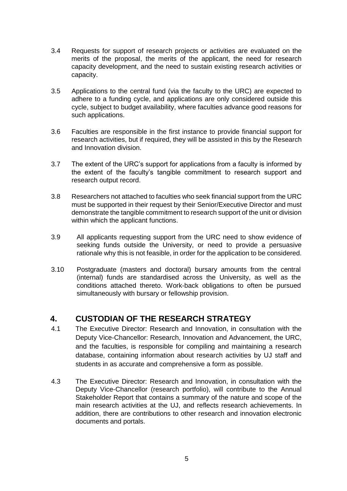- 3.4 Requests for support of research projects or activities are evaluated on the merits of the proposal, the merits of the applicant, the need for research capacity development, and the need to sustain existing research activities or capacity.
- 3.5 Applications to the central fund (via the faculty to the URC) are expected to adhere to a funding cycle, and applications are only considered outside this cycle, subject to budget availability, where faculties advance good reasons for such applications.
- 3.6 Faculties are responsible in the first instance to provide financial support for research activities, but if required, they will be assisted in this by the Research and Innovation division.
- 3.7 The extent of the URC's support for applications from a faculty is informed by the extent of the faculty's tangible commitment to research support and research output record.
- 3.8 Researchers not attached to faculties who seek financial support from the URC must be supported in their request by their Senior/Executive Director and must demonstrate the tangible commitment to research support of the unit or division within which the applicant functions.
- 3.9 All applicants requesting support from the URC need to show evidence of seeking funds outside the University, or need to provide a persuasive rationale why this is not feasible, in order for the application to be considered.
- 3.10 Postgraduate (masters and doctoral) bursary amounts from the central (internal) funds are standardised across the University, as well as the conditions attached thereto. Work-back obligations to often be pursued simultaneously with bursary or fellowship provision.

## **4. CUSTODIAN OF THE RESEARCH STRATEGY**

- 4.1 The Executive Director: Research and Innovation, in consultation with the Deputy Vice-Chancellor: Research, Innovation and Advancement, the URC, and the faculties, is responsible for compiling and maintaining a research database, containing information about research activities by UJ staff and students in as accurate and comprehensive a form as possible.
- 4.3 The Executive Director: Research and Innovation, in consultation with the Deputy Vice-Chancellor (research portfolio), will contribute to the Annual Stakeholder Report that contains a summary of the nature and scope of the main research activities at the UJ, and reflects research achievements. In addition, there are contributions to other research and innovation electronic documents and portals.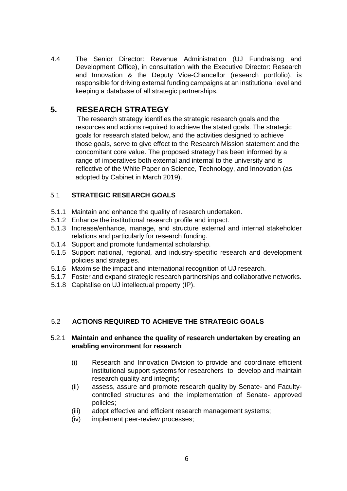4.4 The Senior Director: Revenue Administration (UJ Fundraising and Development Office), in consultation with the Executive Director: Research and Innovation & the Deputy Vice-Chancellor (research portfolio), is responsible for driving external funding campaigns at an institutional level and keeping a database of all strategic partnerships.

## **5. RESEARCH STRATEGY**

The research strategy identifies the strategic research goals and the resources and actions required to achieve the stated goals. The strategic goals for research stated below, and the activities designed to achieve those goals, serve to give effect to the Research Mission statement and the concomitant core value. The proposed strategy has been informed by a range of imperatives both external and internal to the university and is reflective of the White Paper on Science, Technology, and Innovation (as adopted by Cabinet in March 2019).

### 5.1 **STRATEGIC RESEARCH GOALS**

- 5.1.1 Maintain and enhance the quality of research undertaken.
- 5.1.2 Enhance the institutional research profile and impact.
- 5.1.3 Increase/enhance, manage, and structure external and internal stakeholder relations and particularly for research funding.
- 5.1.4 Support and promote fundamental scholarship.
- 5.1.5 Support national, regional, and industry-specific research and development policies and strategies.
- 5.1.6 Maximise the impact and international recognition of UJ research.
- 5.1.7 Foster and expand strategic research partnerships and collaborative networks.
- 5.1.8 Capitalise on UJ intellectual property (IP).

#### 5.2 **ACTIONS REQUIRED TO ACHIEVE THE STRATEGIC GOALS**

#### 5.2.1 **Maintain and enhance the quality of research undertaken by creating an enabling environment for research**

- (i) Research and Innovation Division to provide and coordinate efficient institutional support systems for researchers to develop and maintain research quality and integrity;
- (ii) assess, assure and promote research quality by Senate- and Facultycontrolled structures and the implementation of Senate- approved policies;
- (iii) adopt effective and efficient research management systems;
- (iv) implement peer-review processes;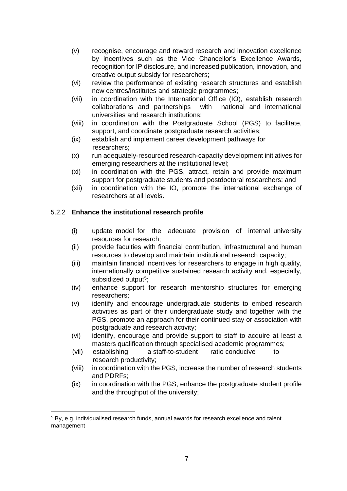- (v) recognise, encourage and reward research and innovation excellence by incentives such as the Vice Chancellor's Excellence Awards, recognition for IP disclosure, and increased publication, innovation, and creative output subsidy for researchers;
- (vi) review the performance of existing research structures and establish new centres/institutes and strategic programmes;
- (vii) in coordination with the International Office (IO), establish research collaborations and partnerships with national and international universities and research institutions;
- (viii) in coordination with the Postgraduate School (PGS) to facilitate, support, and coordinate postgraduate research activities;
- (ix) establish and implement career development pathways for researchers;
- (x) run adequately-resourced research-capacity development initiatives for emerging researchers at the institutional level;
- (xi) in coordination with the PGS, attract, retain and provide maximum support for postgraduate students and postdoctoral researchers; and
- (xii) in coordination with the IO, promote the international exchange of researchers at all levels.

### 5.2.2 **Enhance the institutional research profile**

- (i) update model for the adequate provision of internal university resources for research;
- (ii) provide faculties with financial contribution, infrastructural and human resources to develop and maintain institutional research capacity;
- (iii) maintain financial incentives for researchers to engage in high quality, internationally competitive sustained research activity and, especially, subsidized output<sup>5</sup>;
- (iv) enhance support for research mentorship structures for emerging researchers;
- (v) identify and encourage undergraduate students to embed research activities as part of their undergraduate study and together with the PGS, promote an approach for their continued stay or association with postgraduate and research activity;
- (vi) identify, encourage and provide support to staff to acquire at least a masters qualification through specialised academic programmes;
- (vii) establishing a staff-to-student ratio conducive to research productivity;
- (viii) in coordination with the PGS, increase the number of research students and PDRFs;
- (ix) in coordination with the PGS, enhance the postgraduate student profile and the throughput of the university;

 <sup>5</sup> By, e.g. individualised research funds, annual awards for research excellence and talent management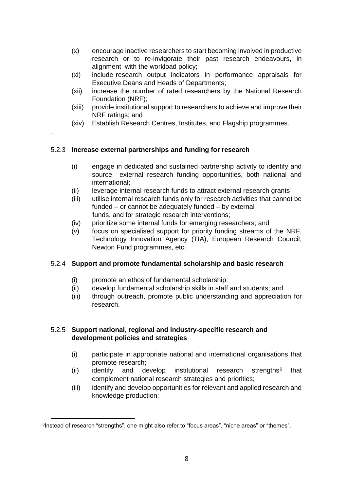- (x) encourage inactive researchers to start becoming involved in productive research or to re-invigorate their past research endeavours, in alignment with the workload policy;
- (xi) include research output indicators in performance appraisals for Executive Deans and Heads of Departments;
- (xii) increase the number of rated researchers by the National Research Foundation (NRF);
- (xiii) provide institutional support to researchers to achieve and improve their NRF ratings; and
- (xiv) Establish Research Centres, Institutes, and Flagship programmes.

### 5.2.3 **Increase external partnerships and funding for research**

.

- (i) engage in dedicated and sustained partnership activity to identify and source external research funding opportunities, both national and international;
- (ii) leverage internal research funds to attract external research grants
- (iii) utilise internal research funds only for research activities that cannot be funded – or cannot be adequately funded – by external funds, and for strategic research interventions;
- (iv) prioritize some internal funds for emerging researchers; and
- (v) focus on specialised support for priority funding streams of the NRF, Technology Innovation Agency (TIA), European Research Council, Newton Fund programmes, etc.

## 5.2.4 **Support and promote fundamental scholarship and basic research**

- (i) promote an ethos of fundamental scholarship;
- (ii) develop fundamental scholarship skills in staff and students; and
- (iii) through outreach, promote public understanding and appreciation for research.

### 5.2.5 **Support national, regional and industry-specific research and development policies and strategies**

- (i) participate in appropriate national and international organisations that promote research;
- (ii) identify and develop institutional research strengths $6$  that complement national research strategies and priorities;
- (iii) identify and develop opportunities for relevant and applied research and knowledge production;

<sup>&</sup>lt;sup>6</sup>Instead of research "strengths", one might also refer to "focus areas", "niche areas" or "themes".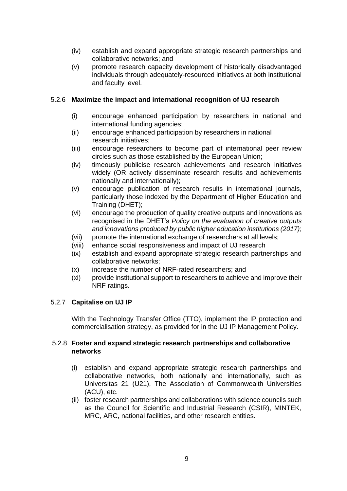- (iv) establish and expand appropriate strategic research partnerships and collaborative networks; and
- (v) promote research capacity development of historically disadvantaged individuals through adequately-resourced initiatives at both institutional and faculty level.

#### 5.2.6 **Maximize the impact and international recognition of UJ research**

- (i) encourage enhanced participation by researchers in national and international funding agencies;
- (ii) encourage enhanced participation by researchers in national research initiatives;
- (iii) encourage researchers to become part of international peer review circles such as those established by the European Union;
- (iv) timeously publicise research achievements and research initiatives widely (OR actively disseminate research results and achievements nationally and internationally);
- (v) encourage publication of research results in international journals, particularly those indexed by the Department of Higher Education and Training (DHET);
- (vi) encourage the production of quality creative outputs and innovations as recognised in the DHET's *Policy on the evaluation of creative outputs and innovations produced by public higher education institutions (2017)*;
- (vii) promote the international exchange of researchers at all levels;
- (viii) enhance social responsiveness and impact of UJ research
- (ix) establish and expand appropriate strategic research partnerships and collaborative networks;
- (x) increase the number of NRF-rated researchers; and
- (xi) provide institutional support to researchers to achieve and improve their NRF ratings.

#### 5.2.7 **Capitalise on UJ IP**

With the Technology Transfer Office (TTO), implement the IP protection and commercialisation strategy, as provided for in the UJ IP Management Policy.

#### 5.2.8 **Foster and expand strategic research partnerships and collaborative networks**

- (i) establish and expand appropriate strategic research partnerships and collaborative networks, both nationally and internationally, such as Universitas 21 (U21), The Association of Commonwealth Universities (ACU), etc.
- (ii) foster research partnerships and collaborations with science councils such as the Council for Scientific and Industrial Research (CSIR), MINTEK, MRC, ARC, national facilities, and other research entities.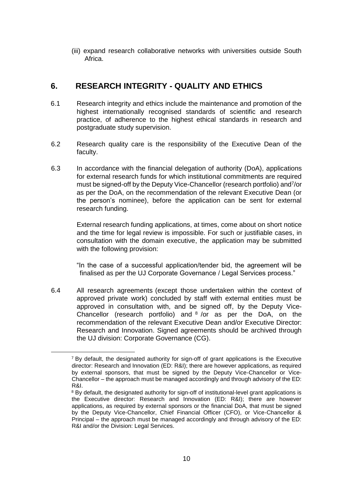(iii) expand research collaborative networks with universities outside South Africa.

## **6. RESEARCH INTEGRITY - QUALITY AND ETHICS**

- 6.1 Research integrity and ethics include the maintenance and promotion of the highest internationally recognised standards of scientific and research practice, of adherence to the highest ethical standards in research and postgraduate study supervision.
- 6.2 Research quality care is the responsibility of the Executive Dean of the faculty.
- 6.3 In accordance with the financial delegation of authority (DoA), applications for external research funds for which institutional commitments are required must be signed-off by the Deputy Vice-Chancellor (research portfolio) and<sup>7</sup> /or as per the DoA, on the recommendation of the relevant Executive Dean (or the person's nominee), before the application can be sent for external research funding.

External research funding applications, at times, come about on short notice and the time for legal review is impossible. For such or justifiable cases, in consultation with the domain executive, the application may be submitted with the following provision:

"In the case of a successful application/tender bid, the agreement will be finalised as per the UJ Corporate Governance / Legal Services process."

6.4 All research agreements (except those undertaken within the context of approved private work) concluded by staff with external entities must be approved in consultation with, and be signed off, by the Deputy Vice-Chancellor (research portfolio) and  $8/$ or as per the DoA, on the recommendation of the relevant Executive Dean and/or Executive Director: Research and Innovation. Signed agreements should be archived through the UJ division: Corporate Governance (CG).

l

 $<sup>7</sup>$  By default, the designated authority for sign-off of grant applications is the Executive</sup> director: Research and Innovation (ED: R&I); there are however applications, as required by external sponsors, that must be signed by the Deputy Vice-Chancellor or Vice-Chancellor – the approach must be managed accordingly and through advisory of the ED: R&I.

<sup>&</sup>lt;sup>8</sup> By default, the designated authority for sign-off of institutional-level grant applications is the Executive director: Research and Innovation (ED: R&I); there are however applications, as required by external sponsors or the financial DoA, that must be signed by the Deputy Vice-Chancellor, Chief Financial Officer (CFO), or Vice-Chancellor & Principal – the approach must be managed accordingly and through advisory of the ED: R&I and/or the Division: Legal Services.